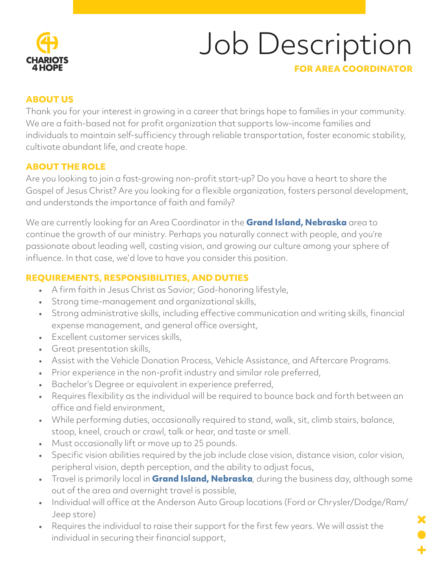

# Job Description

### **FOR AREA COORDINATOR**

## **ABOUT US**

Thank you for your interest in growing in a career that brings hope to families in your community. We are a faith-based not for profit organization that supports low-income families and individuals to maintain self-sufficiency through reliable transportation, foster economic stability, cultivate abundant life, and create hope.

## **ABOUT THE ROLE**

Are you looking to join a fast-growing non-profit start-up? Do you have a heart to share the Gospel of Jesus Christ? Are you looking for a flexible organization, fosters personal development, and understands the importance of faith and family?

We are currently looking for an Area Coordinator in the **Grand Island, Nebraska** area to continue the growth of our ministry. Perhaps you naturally connect with people, and you're passionate about leading well, casting vision, and growing our culture among your sphere of influence. In that case, we'd love to have you consider this position.

## **REQUIREMENTS, RESPONSIBILITIES, AND DUTIES**

- A firm faith in Jesus Christ as Savior; God-honoring lifestyle,
- Strong time-management and organizational skills,
- Strong administrative skills, including effective communication and writing skills, financial expense management, and general office oversight,
- Excellent customer services skills,
- Great presentation skills,
- Assist with the Vehicle Donation Process, Vehicle Assistance, and Aftercare Programs.
- Prior experience in the non-profit industry and similar role preferred,
- Bachelor's Degree or equivalent in experience preferred,
- Requires flexibility as the individual will be required to bounce back and forth between an office and field environment,
- While performing duties, occasionally required to stand, walk, sit, climb stairs, balance, stoop, kneel, crouch or crawl, talk or hear, and taste or smell.
- Must occasionally lift or move up to 25 pounds.
- Specific vision abilities required by the job include close vision, distance vision, color vision, peripheral vision, depth perception, and the ability to adjust focus,
- Travel is primarily local in **Grand Island, Nebraska**, during the business day, although some out of the area and overnight travel is possible,
- Individual will office at the Anderson Auto Group locations (Ford or Chrysler/Dodge/Ram/ Jeep store)
- Requires the individual to raise their support for the first few years. We will assist the individual in securing their financial support,